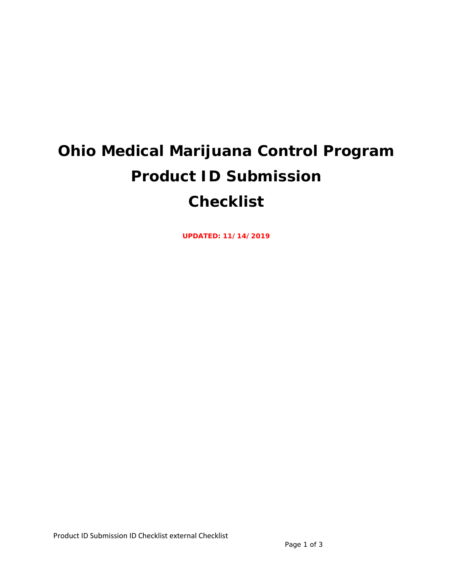# **Ohio Medical Marijuana Control Program Product ID Submission Checklist**

**UPDATED: 11/14/2019**

Product ID Submission ID Checklist external Checklist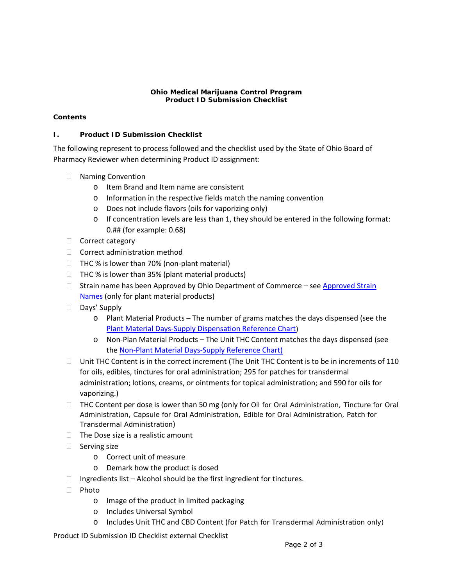#### **Ohio Medical Marijuana Control Program Product ID Submission Checklist**

## **Contents**

### **I. Product ID Submission Checklist**

The following represent to process followed and the checklist used by the State of Ohio Board of Pharmacy Reviewer when determining Product ID assignment:

- □ Naming Convention
	- o Item Brand and Item name are consistent
	- o Information in the respective fields match the naming convention
	- o Does not include flavors (oils for vaporizing only)
	- $\circ$  If concentration levels are less than 1, they should be entered in the following format: 0.## (for example: 0.68)
- $\Box$  Correct category
- $\Box$  Correct administration method
- $\Box$  THC % is lower than 70% (non-plant material)
- $\Box$  THC % is lower than 35% (plant material products)
- $\Box$  Strain name has been Approved by Ohio Department of Commerce see Approved Strain [Names](https://ohiodas-my.sharepoint.com/:x:/r/personal/10063931_id_ohio_gov/_layouts/15/Doc.aspx?sourcedoc=%7B68c5dda7-ef96-44b0-829d-2cdb44b4ea39%7D&action=default&uid=%7B68C5DDA7-EF96-44B0-829D-2CDB44B4EA39%7D&ListItemId=31675&ListId=%7BE8E11F89-A26A-43A5-8176-532B7AAFF982%7D&odsp=1&env=prod&CID=1E8CAFCC-5FF9-4F40-93C2-65A5F0EACD09&wdLOR=c792F03AE-4D3E-451F-93F4-797C88ED43C3) (only for plant material products)
- Days' Supply
	- o Plant Material Products The number of grams matches the days dispensed (see the [Plant Material Days-Supply Dispensation Reference Chart\)](https://www.medicalmarijuana.ohio.gov/Documents/LicenseeResources/Processor%20Licensee%20Resources/Product%20ID%20Assignment/Plant%20Material%20Day%20Supply%20Reference.pdf)
	- o Non-Plan Material Products The Unit THC Content matches the days dispensed (see the [Non-Plant Material Days-Supply Reference Chart\)](https://www.medicalmarijuana.ohio.gov/Documents/LicenseeResources/Processor%20Licensee%20Resources/Product%20ID%20Assignment/Non-Plant%20Material%20Day%20Supply%20Reference.pdf)
- $\Box$  Unit THC Content is in the correct increment (The Unit THC Content is to be in increments of 110 for oils, edibles, tinctures for oral administration; 295 for patches for transdermal administration; lotions, creams, or ointments for topical administration; and 590 for oils for vaporizing.)
- □ THC Content per dose is lower than 50 mg (only for Oil for Oral Administration, Tincture for Oral Administration, Capsule for Oral Administration, Edible for Oral Administration, Patch for Transdermal Administration)
- $\Box$  The Dose size is a realistic amount
- $\Box$  Serving size
	- o Correct unit of measure
	- o Demark how the product is dosed
- $\Box$  Ingredients list Alcohol should be the first ingredient for tinctures.
- $\Box$  Photo
	- o Image of the product in limited packaging
	- o Includes Universal Symbol
	- o Includes Unit THC and CBD Content (for Patch for Transdermal Administration only)

Product ID Submission ID Checklist external Checklist